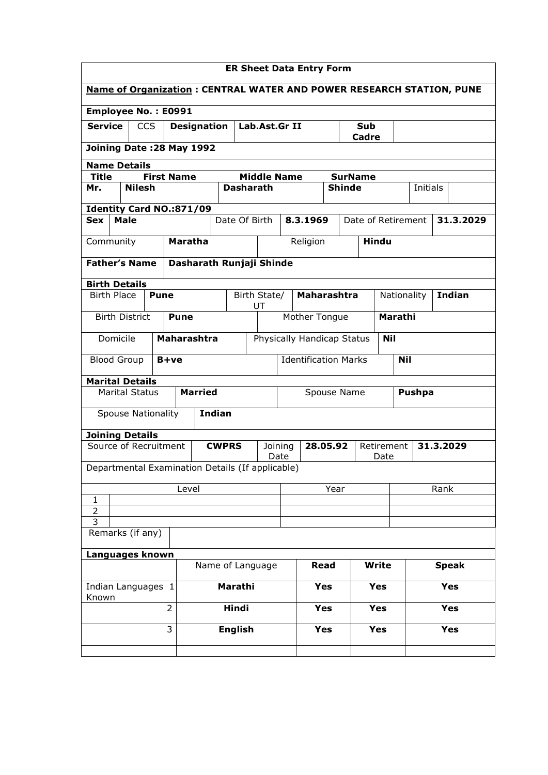| <b>ER Sheet Data Entry Form</b>                                             |                                                    |            |                          |                                     |                                        |                            |                             |              |                                             |                    |                    |              |                              |  |            |
|-----------------------------------------------------------------------------|----------------------------------------------------|------------|--------------------------|-------------------------------------|----------------------------------------|----------------------------|-----------------------------|--------------|---------------------------------------------|--------------------|--------------------|--------------|------------------------------|--|------------|
| <b>Name of Organization: CENTRAL WATER AND POWER RESEARCH STATION, PUNE</b> |                                                    |            |                          |                                     |                                        |                            |                             |              |                                             |                    |                    |              |                              |  |            |
| Employee No.: E0991                                                         |                                                    |            |                          |                                     |                                        |                            |                             |              |                                             |                    |                    |              |                              |  |            |
| <b>Service</b>                                                              |                                                    | <b>CCS</b> |                          | <b>Designation</b><br>Lab.Ast.Gr II |                                        |                            |                             | Sub<br>Cadre |                                             |                    |                    |              |                              |  |            |
|                                                                             | Joining Date: 28 May 1992                          |            |                          |                                     |                                        |                            |                             |              |                                             |                    |                    |              |                              |  |            |
| <b>Name Details</b>                                                         |                                                    |            |                          |                                     |                                        |                            |                             |              |                                             |                    |                    |              |                              |  |            |
| Mr.                                                                         | <b>First Name</b><br><b>Title</b><br><b>Nilesh</b> |            |                          |                                     | <b>Middle Name</b><br><b>Dasharath</b> |                            |                             |              | <b>SurName</b><br><b>Shinde</b><br>Initials |                    |                    |              |                              |  |            |
| Identity Card NO.:871/09                                                    |                                                    |            |                          |                                     |                                        |                            |                             |              |                                             |                    |                    |              |                              |  |            |
| <b>Sex</b>                                                                  | <b>Male</b>                                        |            |                          |                                     |                                        | Date Of Birth              |                             | 8.3.1969     |                                             | Date of Retirement |                    |              |                              |  | 31.3.2029  |
|                                                                             |                                                    |            |                          |                                     |                                        |                            |                             |              |                                             |                    |                    |              |                              |  |            |
| Community                                                                   |                                                    |            | <b>Maratha</b>           |                                     |                                        |                            |                             | Religion     |                                             |                    | <b>Hindu</b>       |              |                              |  |            |
| <b>Father's Name</b>                                                        |                                                    |            | Dasharath Runjaji Shinde |                                     |                                        |                            |                             |              |                                             |                    |                    |              |                              |  |            |
| <b>Birth Details</b>                                                        |                                                    |            |                          |                                     |                                        |                            |                             |              |                                             |                    |                    |              |                              |  |            |
|                                                                             | <b>Birth Place</b><br><b>Pune</b>                  |            |                          |                                     | Birth State/<br>UT                     |                            |                             | Maharashtra  |                                             |                    |                    |              | <b>Indian</b><br>Nationality |  |            |
| <b>Birth District</b>                                                       |                                                    |            | <b>Pune</b>              |                                     |                                        |                            | Mother Tongue               |              |                                             |                    | <b>Marathi</b>     |              |                              |  |            |
| Domicile                                                                    |                                                    |            | <b>Maharashtra</b>       |                                     |                                        | Physically Handicap Status |                             |              | <b>Nil</b>                                  |                    |                    |              |                              |  |            |
| <b>Blood Group</b><br>B+ve                                                  |                                                    |            |                          |                                     |                                        |                            | <b>Identification Marks</b> |              |                                             |                    | <b>Nil</b>         |              |                              |  |            |
| <b>Marital Details</b>                                                      |                                                    |            |                          |                                     |                                        |                            |                             |              |                                             |                    |                    |              |                              |  |            |
|                                                                             | <b>Marital Status</b>                              |            |                          | <b>Married</b>                      |                                        |                            | Spouse Name                 |              |                                             |                    | <b>Pushpa</b>      |              |                              |  |            |
|                                                                             | <b>Spouse Nationality</b>                          |            |                          | <b>Indian</b>                       |                                        |                            |                             |              |                                             |                    |                    |              |                              |  |            |
| <b>Joining Details</b>                                                      |                                                    |            |                          |                                     |                                        |                            |                             |              |                                             |                    |                    |              |                              |  |            |
| Source of Recruitment                                                       |                                                    |            |                          | <b>CWPRS</b>                        |                                        |                            | Joining<br>Date             |              | 28.05.92                                    |                    | Retirement<br>Date |              |                              |  | 31.3.2029  |
| Departmental Examination Details (If applicable)                            |                                                    |            |                          |                                     |                                        |                            |                             |              |                                             |                    |                    |              |                              |  |            |
|                                                                             |                                                    |            | Level                    |                                     |                                        |                            |                             |              | Year                                        |                    |                    | Rank         |                              |  |            |
| 1<br>$\overline{2}$                                                         |                                                    |            |                          |                                     |                                        |                            |                             |              |                                             |                    |                    |              |                              |  |            |
| $\overline{3}$                                                              |                                                    |            |                          |                                     |                                        |                            |                             |              |                                             |                    |                    |              |                              |  |            |
|                                                                             | Remarks (if any)                                   |            |                          |                                     |                                        |                            |                             |              |                                             |                    |                    |              |                              |  |            |
| Languages known                                                             |                                                    |            |                          |                                     |                                        |                            |                             |              |                                             |                    |                    |              |                              |  |            |
| Name of Language                                                            |                                                    |            |                          |                                     |                                        |                            |                             | Read         |                                             | Write              |                    | <b>Speak</b> |                              |  |            |
| Indian Languages 1<br>Known                                                 |                                                    |            |                          | Marathi                             |                                        |                            |                             |              | <b>Yes</b><br><b>Yes</b>                    |                    |                    |              |                              |  | <b>Yes</b> |
| $\overline{2}$                                                              |                                                    |            |                          |                                     | Hindi                                  |                            |                             |              | <b>Yes</b>                                  | <b>Yes</b>         |                    | <b>Yes</b>   |                              |  |            |
|                                                                             |                                                    | 3          |                          |                                     | <b>English</b>                         |                            |                             |              | <b>Yes</b>                                  |                    | <b>Yes</b>         |              |                              |  | <b>Yes</b> |
|                                                                             |                                                    |            |                          |                                     |                                        |                            |                             |              |                                             |                    |                    |              |                              |  |            |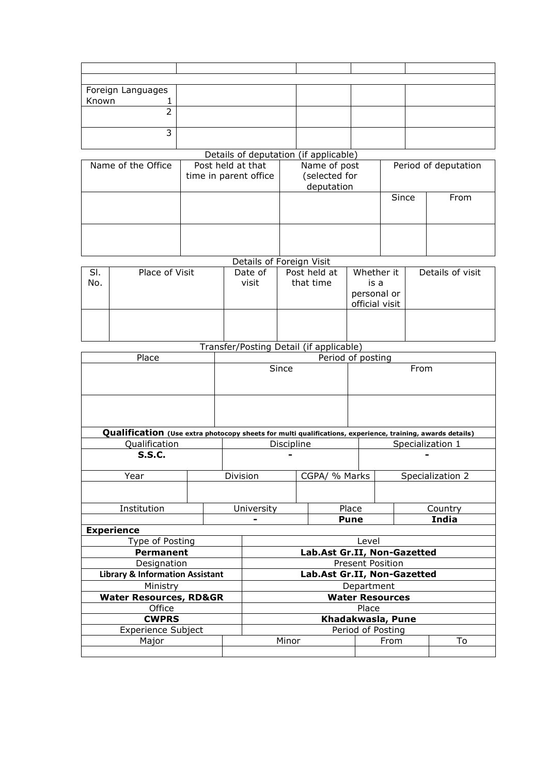|                                                                                                                            | Foreign Languages               |  |                                                 |                          |       |               |                                         |                      |                      |                  |                  |  |
|----------------------------------------------------------------------------------------------------------------------------|---------------------------------|--|-------------------------------------------------|--------------------------|-------|---------------|-----------------------------------------|----------------------|----------------------|------------------|------------------|--|
| Known                                                                                                                      | 1                               |  |                                                 |                          |       |               |                                         |                      |                      |                  |                  |  |
|                                                                                                                            | $\overline{2}$                  |  |                                                 |                          |       |               |                                         |                      |                      |                  |                  |  |
|                                                                                                                            |                                 |  |                                                 |                          |       |               |                                         |                      |                      |                  |                  |  |
|                                                                                                                            | 3                               |  |                                                 |                          |       |               |                                         |                      |                      |                  |                  |  |
|                                                                                                                            |                                 |  |                                                 |                          |       |               | Details of deputation (if applicable)   |                      |                      |                  |                  |  |
|                                                                                                                            | Name of the Office              |  | Post held at that                               |                          |       | Name of post  |                                         |                      | Period of deputation |                  |                  |  |
|                                                                                                                            |                                 |  | time in parent office                           |                          |       | (selected for |                                         |                      |                      |                  |                  |  |
|                                                                                                                            |                                 |  |                                                 |                          |       |               | deputation                              |                      | Since                |                  | From             |  |
|                                                                                                                            |                                 |  |                                                 |                          |       |               |                                         |                      |                      |                  |                  |  |
|                                                                                                                            |                                 |  |                                                 |                          |       |               |                                         |                      |                      |                  |                  |  |
|                                                                                                                            |                                 |  |                                                 |                          |       |               |                                         |                      |                      |                  |                  |  |
|                                                                                                                            |                                 |  |                                                 |                          |       |               |                                         |                      |                      |                  |                  |  |
|                                                                                                                            |                                 |  |                                                 | Details of Foreign Visit |       |               |                                         |                      |                      |                  |                  |  |
| SI.                                                                                                                        | Place of Visit                  |  |                                                 | Date of<br>Post held at  |       |               |                                         | Whether it           |                      | Details of visit |                  |  |
| No.                                                                                                                        |                                 |  |                                                 | visit                    |       |               | that time<br>is a                       |                      |                      |                  |                  |  |
|                                                                                                                            |                                 |  |                                                 |                          |       |               |                                         | personal or          |                      |                  |                  |  |
|                                                                                                                            |                                 |  |                                                 |                          |       |               |                                         | official visit       |                      |                  |                  |  |
|                                                                                                                            |                                 |  |                                                 |                          |       |               |                                         |                      |                      |                  |                  |  |
|                                                                                                                            |                                 |  |                                                 |                          |       |               |                                         |                      |                      |                  |                  |  |
|                                                                                                                            |                                 |  |                                                 |                          |       |               | Transfer/Posting Detail (if applicable) |                      |                      |                  |                  |  |
|                                                                                                                            | Place                           |  |                                                 |                          |       |               |                                         | Period of posting    |                      |                  |                  |  |
|                                                                                                                            |                                 |  |                                                 |                          | Since |               |                                         |                      |                      | From             |                  |  |
|                                                                                                                            |                                 |  |                                                 |                          |       |               |                                         |                      |                      |                  |                  |  |
|                                                                                                                            |                                 |  |                                                 |                          |       |               |                                         |                      |                      |                  |                  |  |
|                                                                                                                            |                                 |  |                                                 |                          |       |               |                                         |                      |                      |                  |                  |  |
|                                                                                                                            |                                 |  |                                                 |                          |       |               |                                         |                      |                      |                  |                  |  |
| Qualification (Use extra photocopy sheets for multi qualifications, experience, training, awards details)<br>Qualification |                                 |  |                                                 | Discipline               |       |               |                                         |                      |                      |                  | Specialization 1 |  |
| <b>S.S.C.</b>                                                                                                              |                                 |  |                                                 |                          |       |               |                                         |                      |                      |                  |                  |  |
|                                                                                                                            |                                 |  |                                                 |                          |       |               |                                         |                      |                      |                  |                  |  |
| Year                                                                                                                       |                                 |  |                                                 | Division                 |       | CGPA/ % Marks |                                         | Specialization 2     |                      |                  |                  |  |
|                                                                                                                            |                                 |  |                                                 |                          |       |               |                                         |                      |                      |                  |                  |  |
| Institution                                                                                                                |                                 |  |                                                 | University               |       |               | Place                                   |                      |                      | Country          |                  |  |
|                                                                                                                            |                                 |  |                                                 |                          |       |               |                                         | India<br><b>Pune</b> |                      |                  |                  |  |
|                                                                                                                            | <b>Experience</b>               |  |                                                 |                          |       |               |                                         |                      |                      |                  |                  |  |
|                                                                                                                            | Type of Posting                 |  |                                                 |                          |       |               | Level                                   |                      |                      |                  |                  |  |
|                                                                                                                            | <b>Permanent</b><br>Doolangtier |  | Lab.Ast Gr.II, Non-Gazetted<br>Dessant Daaitian |                          |       |               |                                         |                      |                      |                  |                  |  |

| <b>Permanent</b>                           |       | Lab.Ast Gr.II, Non-Gazetted |    |  |  |  |  |  |
|--------------------------------------------|-------|-----------------------------|----|--|--|--|--|--|
| Designation                                |       | <b>Present Position</b>     |    |  |  |  |  |  |
| <b>Library &amp; Information Assistant</b> |       | Lab.Ast Gr.II, Non-Gazetted |    |  |  |  |  |  |
| Ministry                                   |       | Department                  |    |  |  |  |  |  |
| <b>Water Resources, RD&amp;GR</b>          |       | <b>Water Resources</b>      |    |  |  |  |  |  |
| Office                                     |       | Place                       |    |  |  |  |  |  |
| <b>CWPRS</b>                               |       | Khadakwasla, Pune           |    |  |  |  |  |  |
| <b>Experience Subject</b>                  |       | Period of Posting           |    |  |  |  |  |  |
| Major                                      | Minor | From                        | To |  |  |  |  |  |
|                                            |       |                             |    |  |  |  |  |  |